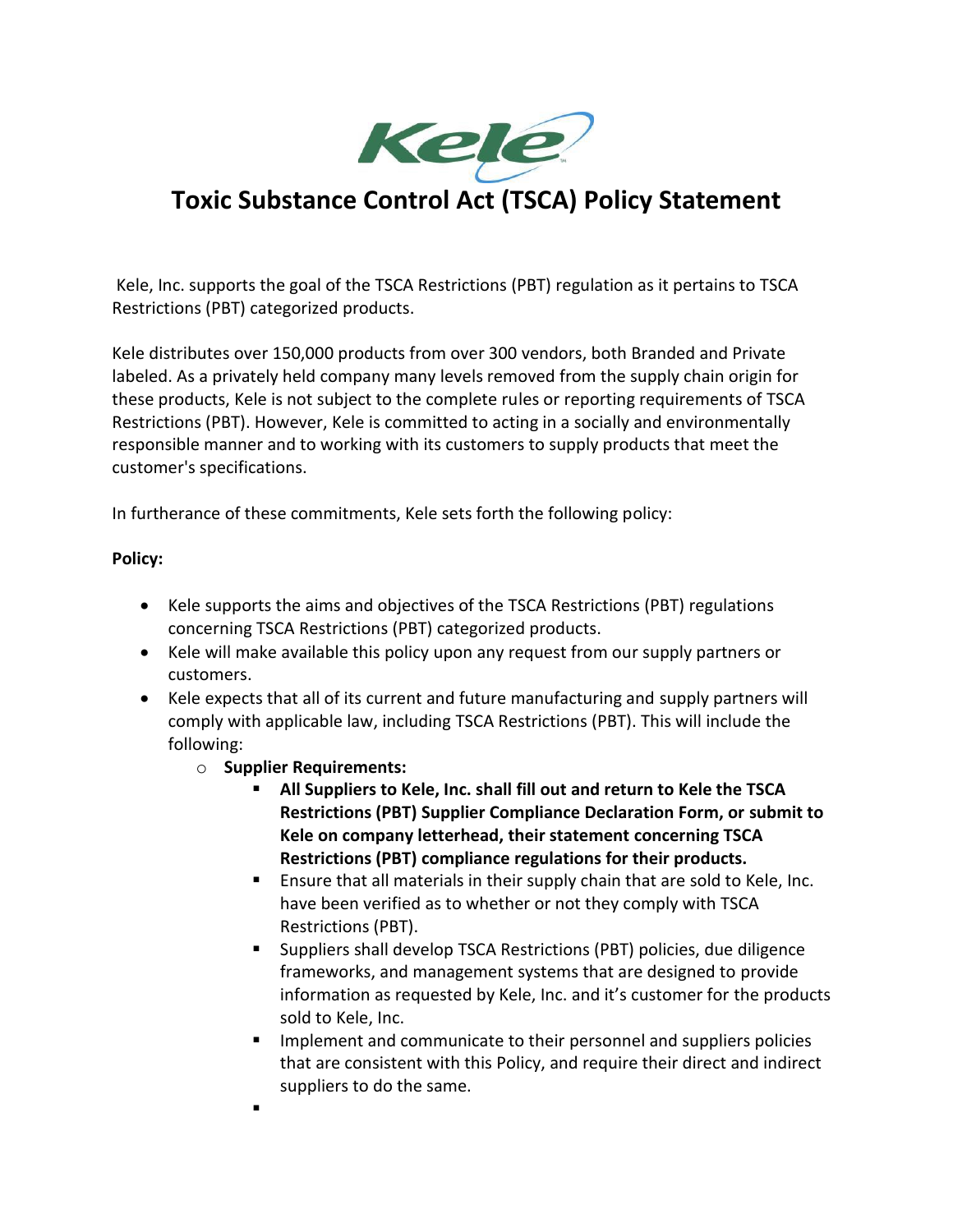

## **Toxic Substance Control Act (TSCA) Policy Statement**

Kele, Inc. supports the goal of the TSCA Restrictions (PBT) regulation as it pertains to TSCA Restrictions (PBT) categorized products.

Kele distributes over 150,000 products from over 300 vendors, both Branded and Private labeled. As a privately held company many levels removed from the supply chain origin for these products, Kele is not subject to the complete rules or reporting requirements of TSCA Restrictions (PBT). However, Kele is committed to acting in a socially and environmentally responsible manner and to working with its customers to supply products that meet the customer's specifications.

In furtherance of these commitments, Kele sets forth the following policy:

## **Policy:**

- Kele supports the aims and objectives of the TSCA Restrictions (PBT) regulations concerning TSCA Restrictions (PBT) categorized products.
- Kele will make available this policy upon any request from our supply partners or customers.
- Kele expects that all of its current and future manufacturing and supply partners will comply with applicable law, including TSCA Restrictions (PBT). This will include the following:
	- o **Supplier Requirements:**

▪

- **All Suppliers to Kele, Inc. shall fill out and return to Kele the TSCA Restrictions (PBT) Supplier Compliance Declaration Form, or submit to Kele on company letterhead, their statement concerning TSCA Restrictions (PBT) compliance regulations for their products.**
- Ensure that all materials in their supply chain that are sold to Kele, Inc. have been verified as to whether or not they comply with TSCA Restrictions (PBT).
- Suppliers shall develop TSCA Restrictions (PBT) policies, due diligence frameworks, and management systems that are designed to provide information as requested by Kele, Inc. and it's customer for the products sold to Kele, Inc.
- Implement and communicate to their personnel and suppliers policies that are consistent with this Policy, and require their direct and indirect suppliers to do the same.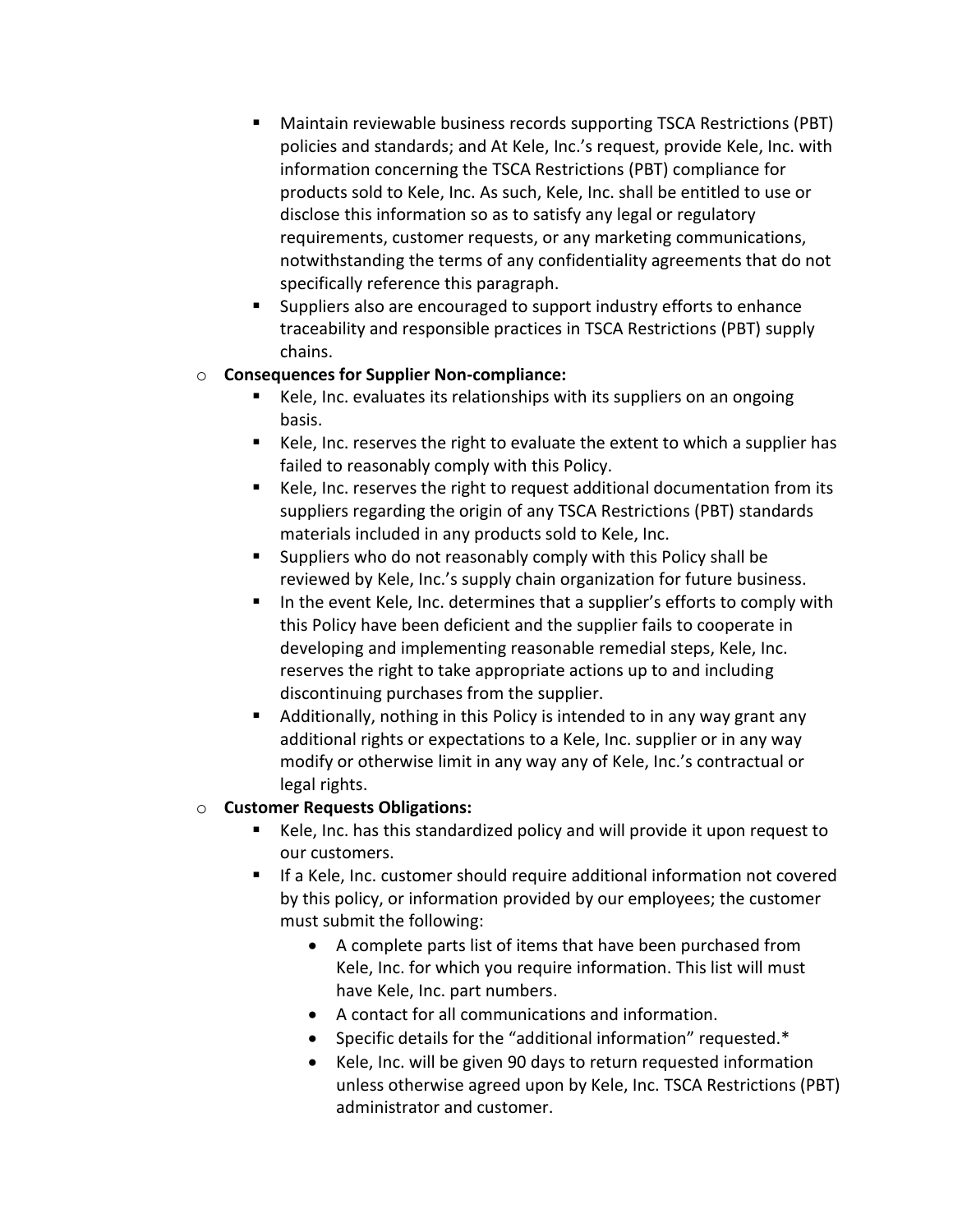- Maintain reviewable business records supporting TSCA Restrictions (PBT) policies and standards; and At Kele, Inc.'s request, provide Kele, Inc. with information concerning the TSCA Restrictions (PBT) compliance for products sold to Kele, Inc. As such, Kele, Inc. shall be entitled to use or disclose this information so as to satisfy any legal or regulatory requirements, customer requests, or any marketing communications, notwithstanding the terms of any confidentiality agreements that do not specifically reference this paragraph.
- Suppliers also are encouraged to support industry efforts to enhance traceability and responsible practices in TSCA Restrictions (PBT) supply chains.

## o **Consequences for Supplier Non-compliance:**

- Kele, Inc. evaluates its relationships with its suppliers on an ongoing basis.
- Kele, Inc. reserves the right to evaluate the extent to which a supplier has failed to reasonably comply with this Policy.
- Kele, Inc. reserves the right to request additional documentation from its suppliers regarding the origin of any TSCA Restrictions (PBT) standards materials included in any products sold to Kele, Inc.
- Suppliers who do not reasonably comply with this Policy shall be reviewed by Kele, Inc.'s supply chain organization for future business.
- In the event Kele, Inc. determines that a supplier's efforts to comply with this Policy have been deficient and the supplier fails to cooperate in developing and implementing reasonable remedial steps, Kele, Inc. reserves the right to take appropriate actions up to and including discontinuing purchases from the supplier.
- Additionally, nothing in this Policy is intended to in any way grant any additional rights or expectations to a Kele, Inc. supplier or in any way modify or otherwise limit in any way any of Kele, Inc.'s contractual or legal rights.

## o **Customer Requests Obligations:**

- Kele, Inc. has this standardized policy and will provide it upon request to our customers.
- If a Kele, Inc. customer should require additional information not covered by this policy, or information provided by our employees; the customer must submit the following:
	- A complete parts list of items that have been purchased from Kele, Inc. for which you require information. This list will must have Kele, Inc. part numbers.
	- A contact for all communications and information.
	- Specific details for the "additional information" requested.\*
	- Kele, Inc. will be given 90 days to return requested information unless otherwise agreed upon by Kele, Inc. TSCA Restrictions (PBT) administrator and customer.